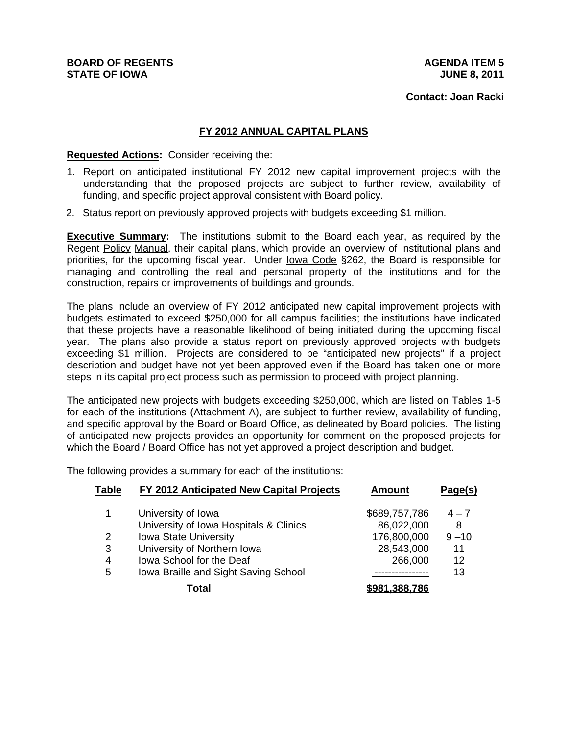**Contact: Joan Racki**

## **FY 2012 ANNUAL CAPITAL PLANS**

## **Requested Actions:** Consider receiving the:

- 1. Report on anticipated institutional FY 2012 new capital improvement projects with the understanding that the proposed projects are subject to further review, availability of funding, and specific project approval consistent with Board policy.
- 2. Status report on previously approved projects with budgets exceeding \$1 million.

**Executive Summary:** The institutions submit to the Board each year, as required by the Regent Policy Manual, their capital plans, which provide an overview of institutional plans and priorities, for the upcoming fiscal year. Under lowa Code §262, the Board is responsible for managing and controlling the real and personal property of the institutions and for the construction, repairs or improvements of buildings and grounds.

The plans include an overview of FY 2012 anticipated new capital improvement projects with budgets estimated to exceed \$250,000 for all campus facilities; the institutions have indicated that these projects have a reasonable likelihood of being initiated during the upcoming fiscal year. The plans also provide a status report on previously approved projects with budgets exceeding \$1 million. Projects are considered to be "anticipated new projects" if a project description and budget have not yet been approved even if the Board has taken one or more steps in its capital project process such as permission to proceed with project planning.

The anticipated new projects with budgets exceeding \$250,000, which are listed on Tables 1-5 for each of the institutions (Attachment A), are subject to further review, availability of funding, and specific approval by the Board or Board Office, as delineated by Board policies. The listing of anticipated new projects provides an opportunity for comment on the proposed projects for which the Board / Board Office has not yet approved a project description and budget.

The following provides a summary for each of the institutions:

| Table | FY 2012 Anticipated New Capital Projects | <b>Amount</b>        | Page(s)  |
|-------|------------------------------------------|----------------------|----------|
| 1     | University of Iowa                       | \$689,757,786        | $4 - 7$  |
|       | University of Iowa Hospitals & Clinics   | 86,022,000           | 8        |
| 2     | <b>Iowa State University</b>             | 176,800,000          | $9 - 10$ |
| 3     | University of Northern Iowa              | 28,543,000           | 11       |
| 4     | <b>Iowa School for the Deaf</b>          | 266,000              | 12       |
| 5     | Iowa Braille and Sight Saving School     |                      | 13       |
|       | Total                                    | <u>\$981.388.786</u> |          |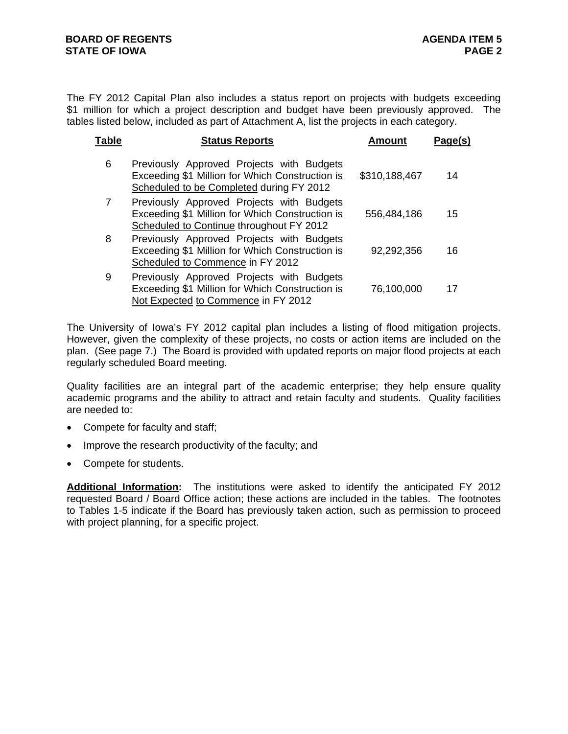The FY 2012 Capital Plan also includes a status report on projects with budgets exceeding \$1 million for which a project description and budget have been previously approved. The tables listed below, included as part of Attachment A, list the projects in each category.

| Table | <b>Status Reports</b>                                                                                                                    | Amount        | Page(s) |
|-------|------------------------------------------------------------------------------------------------------------------------------------------|---------------|---------|
| 6     | Previously Approved Projects with Budgets<br>Exceeding \$1 Million for Which Construction is<br>Scheduled to be Completed during FY 2012 | \$310,188,467 | 14      |
| 7     | Previously Approved Projects with Budgets<br>Exceeding \$1 Million for Which Construction is<br>Scheduled to Continue throughout FY 2012 | 556,484,186   | 15      |
| 8     | Previously Approved Projects with Budgets<br>Exceeding \$1 Million for Which Construction is<br>Scheduled to Commence in FY 2012         | 92,292,356    | 16      |
| 9     | Previously Approved Projects with Budgets<br>Exceeding \$1 Million for Which Construction is<br>Not Expected to Commence in FY 2012      | 76,100,000    | 17      |

The University of Iowa's FY 2012 capital plan includes a listing of flood mitigation projects. However, given the complexity of these projects, no costs or action items are included on the plan. (See page 7.) The Board is provided with updated reports on major flood projects at each regularly scheduled Board meeting.

Quality facilities are an integral part of the academic enterprise; they help ensure quality academic programs and the ability to attract and retain faculty and students. Quality facilities are needed to:

- Compete for faculty and staff;
- Improve the research productivity of the faculty; and
- Compete for students.

**Additional Information:** The institutions were asked to identify the anticipated FY 2012 requested Board / Board Office action; these actions are included in the tables. The footnotes to Tables 1-5 indicate if the Board has previously taken action, such as permission to proceed with project planning, for a specific project.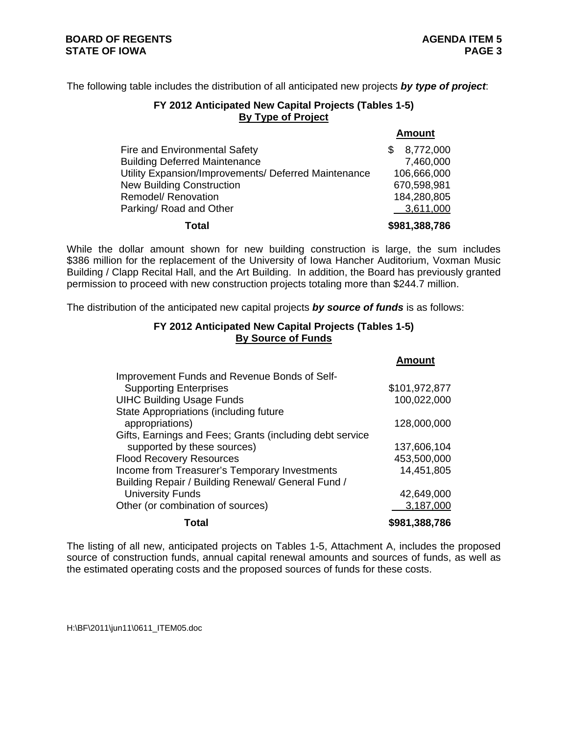**Amount**

The following table includes the distribution of all anticipated new projects *by type of project*:

# **FY 2012 Anticipated New Capital Projects (Tables 1-5) By Type of Project**

|                                                      | <b>Amount</b>   |
|------------------------------------------------------|-----------------|
| Fire and Environmental Safety                        | 8,772,000<br>\$ |
| <b>Building Deferred Maintenance</b>                 | 7,460,000       |
| Utility Expansion/Improvements/ Deferred Maintenance | 106,666,000     |
| <b>New Building Construction</b>                     | 670,598,981     |
| Remodel/ Renovation                                  | 184,280,805     |
| Parking/ Road and Other                              | 3,611,000       |
| Total                                                | \$981,388,786   |

While the dollar amount shown for new building construction is large, the sum includes \$386 million for the replacement of the University of Iowa Hancher Auditorium, Voxman Music Building / Clapp Recital Hall, and the Art Building. In addition, the Board has previously granted permission to proceed with new construction projects totaling more than \$244.7 million.

The distribution of the anticipated new capital projects *by source of funds* is as follows:

## **FY 2012 Anticipated New Capital Projects (Tables 1-5) By Source of Funds**

|                                                          | <u>Allivulit</u> |
|----------------------------------------------------------|------------------|
| Improvement Funds and Revenue Bonds of Self-             |                  |
| <b>Supporting Enterprises</b>                            | \$101,972,877    |
| <b>UIHC Building Usage Funds</b>                         | 100,022,000      |
| State Appropriations (including future                   |                  |
| appropriations)                                          | 128,000,000      |
| Gifts, Earnings and Fees; Grants (including debt service |                  |
| supported by these sources)                              | 137,606,104      |
| <b>Flood Recovery Resources</b>                          | 453,500,000      |
| Income from Treasurer's Temporary Investments            | 14,451,805       |
| Building Repair / Building Renewal/ General Fund /       |                  |
| <b>University Funds</b>                                  | 42,649,000       |
| Other (or combination of sources)                        | 3,187,000        |
| Total                                                    | \$981,388,786    |

The listing of all new, anticipated projects on Tables 1-5, Attachment A, includes the proposed source of construction funds, annual capital renewal amounts and sources of funds, as well as the estimated operating costs and the proposed sources of funds for these costs.

H:\BF\2011\jun11\0611\_ITEM05.doc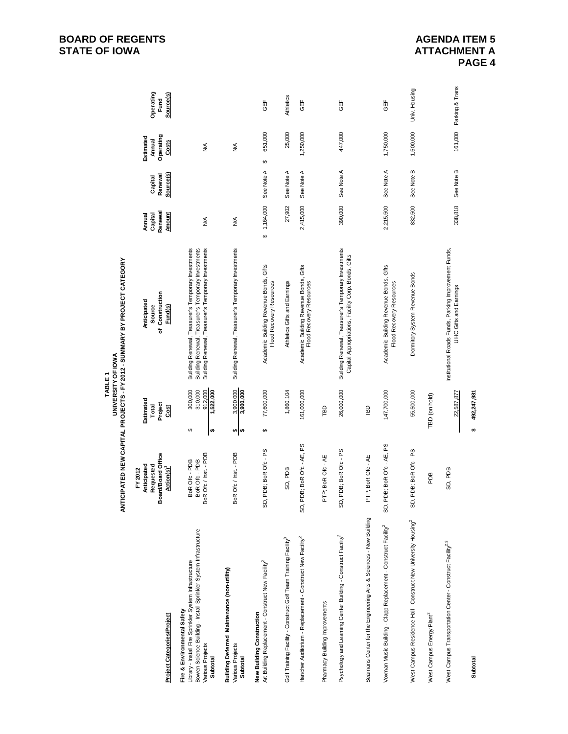| TABLE1 | <b>JNIVERSITY OF IOWA</b> | ANTICIPATED NEW CAPITAL PROJECTS - FY 2012 - SUMMARY BY PROJECT CATEGORY |  |
|--------|---------------------------|--------------------------------------------------------------------------|--|
|--------|---------------------------|--------------------------------------------------------------------------|--|

| <b>Project Categories/Project</b>                                                                                                                                                                | <b>Ird/Board Office</b><br>Anticipated<br>Requested<br><b>Action(s)</b><br>FY 2012<br>å | Estimated<br>Project<br>Total<br><u>Gst</u>          | Construction<br>Anticipated<br>Source<br>Fund(s)<br>৳                                                                                                             | Renewal<br><b>Amount</b><br>Annual<br>Capital | Source(s)<br>Renewal<br>Capital | Operating<br>Estimated<br>Annual<br>Costs | Operating<br>Source(s)<br>Fund |
|--------------------------------------------------------------------------------------------------------------------------------------------------------------------------------------------------|-----------------------------------------------------------------------------------------|------------------------------------------------------|-------------------------------------------------------------------------------------------------------------------------------------------------------------------|-----------------------------------------------|---------------------------------|-------------------------------------------|--------------------------------|
| Bowen Science Building - Install Sprinkler System Infrastructure<br>Library - Install Fire Sprinkler System Infrastructure<br>Fire & Environmental Safety<br>Various Projects<br><b>Subtotal</b> | Ofc / Inst. - PDB<br>BoR Ofc-PDB<br>BoR Ofc - PDB<br>BoR Ofc / Inst. - PD               | 310,000<br>300,000<br>912,000<br>,522,000<br>↔<br> ⇔ | Building Renewal, Treasurer's Temporary Investments<br>Building Renewal, Treasurer's Temporary Investments<br>Building Renewal, Treasurer's Temporary Investments | $\frac{4}{2}$                                 |                                 | $\frac{4}{2}$                             |                                |
| Building Deferred Maintenance (non-utility)<br>Various Projects<br>Subtotal                                                                                                                      | Ofc / Inst. - PDB<br><b>BoR</b>                                                         | 3,900,000<br>3,900,000<br>⇔∣⇔                        | Building Renewal, Treasurer's Temporary Investments                                                                                                               | ≸                                             |                                 | ≸                                         |                                |
| Art Building Replacement - Construct New Facility <sup>2</sup><br>New Building Construction                                                                                                      | DB; BoR Ofc - PS<br>SD, P                                                               | 77,600,000<br>↮                                      | Academic Building Revenue Bonds, Gifts<br>Flood Recovery Resources                                                                                                | \$1,164,000                                   | See Note A                      | 651,000<br>↮                              | GEF                            |
| Golf Training Facility - Construct Golf Team Training Facility <sup>3</sup>                                                                                                                      | SD, PDB                                                                                 | 1,860,104                                            | Athletics Gifts and Earnings                                                                                                                                      | 27,902                                        | See Note A                      | 25,000                                    | Athletics                      |
| Hancher Auditorium - Replacement - Construct New Facility <sup>2</sup>                                                                                                                           | B; BoR Ofc - AE, PS<br>SD, PDI                                                          | 161,000,000                                          | Academic Building Revenue Bonds, Gifts<br>Flood Recovery Resources                                                                                                | 2,415,000                                     | See Note A                      | 1,250,000                                 | <b>GEF</b>                     |
| Pharmacy Building Improvements                                                                                                                                                                   | PTP; BoR Ofc - AE                                                                       | ΓBD                                                  |                                                                                                                                                                   |                                               |                                 |                                           |                                |
| Psychology and Learning Center Building - Construct Facility <sup>2</sup>                                                                                                                        | PDB; BoR Ofc - PS<br>SD, P                                                              | 26,000,000                                           | Building Renewal, Treasurer's Temporary Investments<br>Capital Appropriations, Facility Corp. Bonds, Gifts                                                        | 390,000                                       | See Note A                      | 447,000                                   | 出<br>05                        |
| Seamans Center for the Engineering Arts & Sciences - New Building                                                                                                                                | PTP; BoR Ofc - AE                                                                       | βg                                                   |                                                                                                                                                                   |                                               |                                 |                                           |                                |
| Voxman Music Building - Clapp Replacement - Construct Facility <sup>2</sup>                                                                                                                      | B; BoR Ofc - AE, PS<br>SD, PDI                                                          | 147,700,000                                          | Academic Building Revenue Bonds, Gifts<br>Flood Recovery Resources                                                                                                | 2,215,500                                     | See Note A                      | 1,750,000                                 | GEF                            |
| West Campus Residence Hall - Construct New University Housing <sup>2</sup>                                                                                                                       | "DB; BoR Ofc - PS<br>SD, P                                                              | 55,500,000                                           | Dormitory System Revenue Bonds                                                                                                                                    | 832,500                                       | See Note B                      | 1,500,000                                 | Univ. Housing                  |
| West Campus Energy Plant <sup>2</sup>                                                                                                                                                            | ВG                                                                                      | TBD (on hold)                                        |                                                                                                                                                                   |                                               |                                 |                                           |                                |
| West Campus Transportation Center - Construct Facility <sup>2,3</sup>                                                                                                                            | SD, PDB                                                                                 | 22,587,877                                           | Institutional Roads Funds, Parking Improvement Funds,<br><b>UIHC Gifts and Earnings</b>                                                                           | 338,818                                       | See Note B                      |                                           | 161,000 Parking & Trans.       |
| Subtotal                                                                                                                                                                                         |                                                                                         | 492,247,981<br>to.                                   |                                                                                                                                                                   |                                               |                                 |                                           |                                |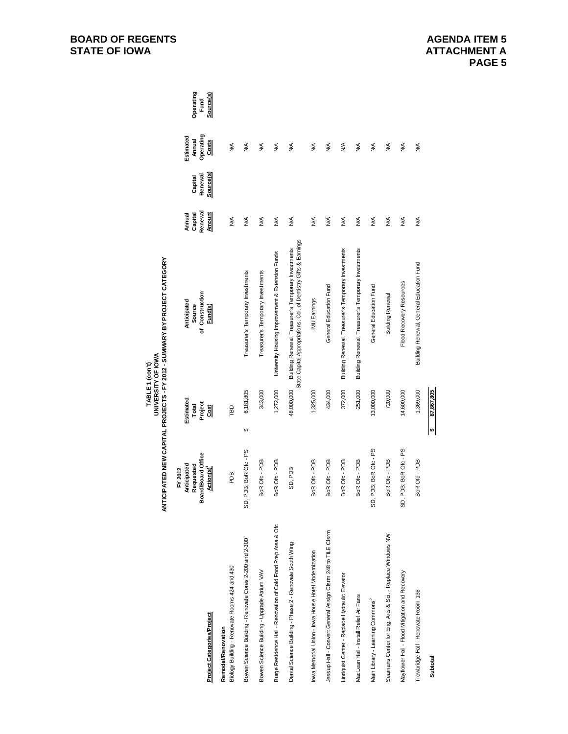|                                                                      |                                                                        |                                            | ANTICIPATED NEW CAPITAL PROJECTS - FY 2012 - SUMMARY BY PROJECT CATEGORY<br>UNIVERSITY OF IOWA<br>TABLE 1 (con't)       |                                               |                                 |                                           |                                |
|----------------------------------------------------------------------|------------------------------------------------------------------------|--------------------------------------------|-------------------------------------------------------------------------------------------------------------------------|-----------------------------------------------|---------------------------------|-------------------------------------------|--------------------------------|
| <b>Project Categories/Project</b>                                    | Board/Board Office<br>Anticipated<br>Requested<br>FY 2012<br>Action(s) | Estimated<br>Project<br>Total<br><b>SS</b> | of Construction<br>Anticipated<br>Source<br>Fund(s)                                                                     | Renewal<br><u>Amount</u><br>Capital<br>Annual | Source(s)<br>Renewal<br>Capital | Operating<br>Estimated<br>Annual<br>Costs | Operating<br>Source(s)<br>Fund |
| Biology Building - Renovate Rooms 424 and 430<br>Remodel/Renovation  | ВQ                                                                     | Γ                                          |                                                                                                                         | $\frac{4}{2}$                                 |                                 | $\frac{4}{2}$                             |                                |
| Bowen Science Building - Renovate Cores 2-200 and 2-300 <sup>3</sup> | SD, PDB; BoR Ofc - PS                                                  | 6,181,805<br>↔                             | Treasurer's Temporary Investments                                                                                       | ≸                                             |                                 | ≸                                         |                                |
| Bowen Science Building - Upgrade Atrium VAV                          | BoR Ofc-PDB                                                            | 343,000                                    | Treasurer's Temporary Investments                                                                                       | ≸                                             |                                 | $\frac{4}{2}$                             |                                |
| Burge Residence Hall - Renovation of Cold Food Prep Area & Ofc       | BoR Ofc-PDB                                                            | 1,272,000                                  | University Housing Improvement & Extension Funds                                                                        | ≸                                             |                                 | ≸                                         |                                |
| Dental Science Building - Phase 2 - Renovate South Wing              | SD, PDB                                                                | 48,000,000                                 | State Capital Appropriations, Col. of Dentistry Gifts & Earnings<br>Building Renewal, Treasurer's Temporary Investments | ≸                                             |                                 | ≸                                         |                                |
| lowa Memorial Union - lowa House Hotel Modernization                 | BoR Ofc-PDB                                                            | 1,325,000                                  | IMU Earnings                                                                                                            | ≸                                             |                                 | $\frac{4}{2}$                             |                                |
| Jessup Hall - Convert General Assign Clsrm 248 to TILE Clsrm         | BoR Ofc-PDB                                                            | 434,000                                    | General Education Fund                                                                                                  | ≸                                             |                                 | $\frac{4}{2}$                             |                                |
| Lindquist Center - Replace Hydraulic Elevator                        | BoR Ofc-PDB                                                            | 372,000                                    | Building Renewal, Treasurer's Temporary Investments                                                                     | ≸                                             |                                 | $\frac{1}{2}$                             |                                |
| MacLean Hall - Install Relief Air Fans                               | BoR Ofc-PDB                                                            | 251,000                                    | Building Renewal, Treasurer's Temporary Investments                                                                     | ≸                                             |                                 | ≸                                         |                                |
| Main Library - Learning Commons <sup>2</sup>                         | SD, PDB; BoR Ofc - PS                                                  | 13,000,000                                 | General Education Fund                                                                                                  | ≸                                             |                                 | ≸                                         |                                |
| Seamans Center for Eng. Arts & Sci. - Replace Windows NW             | BoR Ofc-PDB                                                            | 720,000                                    | <b>Building Renewal</b>                                                                                                 | ≸                                             |                                 | $\frac{4}{2}$                             |                                |
| Mayflower Hall - Flood Mitigation and Recovery                       | iD, PDB; BoR Ofc - PS                                                  | 14,600,000                                 | Flood Recovery Resources                                                                                                | $\frac{4}{2}$                                 |                                 | $\frac{1}{2}$                             |                                |
| Trowbridge Hall - Renovate Room 136                                  | BoR Ofc-PDB                                                            | 1,369,000                                  | Building Renewal, General Education Fund                                                                                | ≸                                             |                                 | ≸                                         |                                |
| Subtotal                                                             |                                                                        | 87,867,805<br>₩                            |                                                                                                                         |                                               |                                 |                                           |                                |

## **AGENDA ITEM 5 ATTACHMENT A PAGE 5**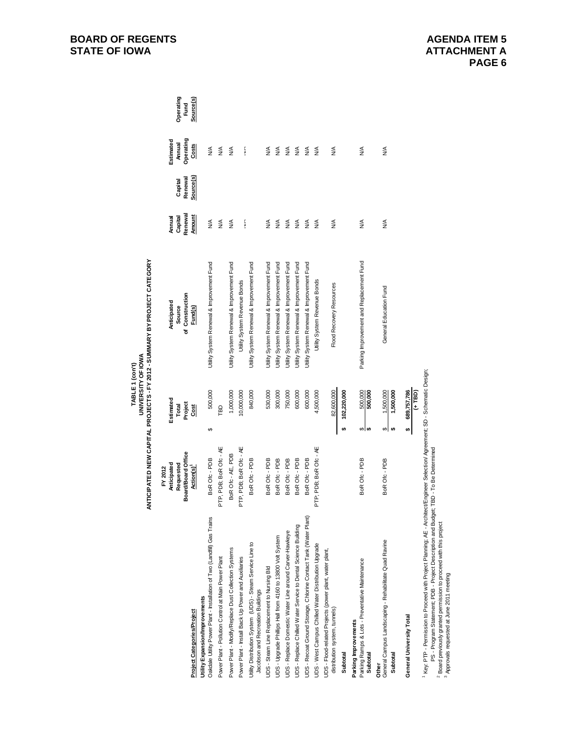|                                                                                                           | Anticipated<br>FY 2012          | Estimated                                             | Anticipated                               | Annual             |                    | Estimated          |                   |
|-----------------------------------------------------------------------------------------------------------|---------------------------------|-------------------------------------------------------|-------------------------------------------|--------------------|--------------------|--------------------|-------------------|
|                                                                                                           | Board/Board Office<br>Requested | Total                                                 | of Construction<br>Source                 | Renewal<br>Capital | Renewal<br>Capital | Annual             | Operating<br>Fund |
| Project Categories/Project                                                                                | Action(s) <sup>1</sup>          | Project<br>Cost                                       | Fund(s)                                   | <b>Amount</b>      | Source(s)          | Operating<br>Costs | Source(s)         |
| Oakdale Utility Power Plant - Installation of Two (Landfill) Gas Trains<br>Utility Expansion/Improvements | BoR Ofc - PDB                   | 500,000<br>↔                                          | Utility System Renewal & Improvement Fund | ≸                  |                    | ≸                  |                   |
| Power Plant - Pollution Control at Main Power Plant                                                       | PTP, PDB; BoR Ofc - AE          | ГBD                                                   |                                           | ≸                  |                    | $\frac{4}{2}$      |                   |
| Power Plant - Modify/Replace Dust Collection Systems                                                      | BoR Ofc - AE, PDB               | 1,000,000                                             | Utility System Renewal & Improvement Fund | $\frac{4}{2}$      |                    | $\frac{4}{2}$      |                   |
| Power Plant - Install Back Up Power and Auxiliaries                                                       | PTP, PDB; BoR Ofc - AE          | 10,000,000                                            | Utility System Revenue Bonds              |                    |                    |                    |                   |
|                                                                                                           |                                 |                                                       |                                           | ţ                  |                    | ţ                  |                   |
| Utility Distribution System (UDS) - Steam Service Line to<br>Jacobson and Recreation Buildings            | BoR Ofc - PDB                   | 840,000                                               | Utility System Renewal & Improvement Fund |                    |                    |                    |                   |
| UDS - Steam Line Replacement to Nursing Bld                                                               | BoR Ofc - PDB                   | 530,000                                               | Utility System Renewal & Improvement Fund | $\frac{4}{2}$      |                    | $\frac{4}{2}$      |                   |
| UDS - Upgrade Phillips Hall from 4160 to 13800 Volt System                                                | BoR Ofc - PDB                   | 300,000                                               | Jility System Renewal & Improvement Fund  | $\lessgtr$         |                    | $\lessgtr$         |                   |
| UDS - Replace Domestic Water Line around Carver-Hawkeye                                                   | BoR Ofc - PDB                   | 750,000                                               | Jtility System Renewal & Improvement Fund | $\frac{4}{2}$      |                    | $\lessgtr$         |                   |
| UDS - Replace Chilled Water Service to Dental Science Building                                            | BoR Ofc-PDB                     | 600,000                                               | Utility System Renewal & Improvement Fund | $\frac{4}{2}$      |                    | $\lessgtr$         |                   |
| UDS - Recoat Ground Storage, Chlorine Contact Tank (Water Plant)                                          | BoR Ofc - PDB                   | 600,000                                               | Utility System Renewal & Improvement Fund | $\frac{4}{2}$      |                    | $\frac{4}{2}$      |                   |
| UDS - West Campus Chilled Water Distribution Upgrade                                                      | PTP; PDB; BoR Ofc - AE          | 4,500,000                                             | Utility System Revenue Bonds              | $\frac{4}{2}$      |                    | $\frac{4}{2}$      |                   |
| UDS - Flood-related Projects (power plant, water plant,<br>distribution system, tunnels)                  |                                 | 82,600,000                                            | Flood Recovery Resources                  | $\frac{4}{2}$      |                    | $\frac{4}{2}$      |                   |
| Subtotal                                                                                                  |                                 | 102,220,000<br>မာ                                     |                                           |                    |                    |                    |                   |
| Parking Ramps & Lots - Preventative Maintenance<br>Parking Improvements<br>Subtotal                       | BoR Ofc - PDB                   | $\frac{500,000}{500,000}$<br>↮<br>₩,                  | Parking Improvement and Replacement Fund  | ≸                  |                    | $\frac{4}{2}$      |                   |
| General Campus Landscaping - Rehabilitate Quad Ravine<br>Subtotal<br>Other                                | BoR Ofc - PDB                   | 1,500,000<br>1,500,000<br>$\boldsymbol{\varphi}$<br>₩ | General Education Fund                    | ≸                  |                    | ≸                  |                   |
| General University Total                                                                                  |                                 | 689,757,786<br>(+ TBD)<br>↮                           |                                           |                    |                    |                    |                   |

# TABLE 1 (con't)<br>UNIVERSITY OF IOWA<br>ANTICIPATED NEW CAPITAL PROJECTS - FY 2012 - SUMMARY BY PROJECT CATEGORY **ANTICIPATED NEW CAPITAL PROJECTS - FY 2012 - SUMMARY BY PROJECT CATEGORYUNIVERSITY OF IOWA TABLE 1 (con't)**

' Key: PTP - Permission to Proceed with Project Planning; AE - Architect/Engineer Selection/ Agreement; SD - Schematic Design;<br>PS - Program Statement; PDB - Project Description and Budget; TBD - To Be Determined<br><sup>2</sup> Appr 1 Key: PTP - Permission to Proceed with Project Planning; AE - Architect/Engineer Selection/ Agreement; SD - Schematic Design; PS - Program Statement; PDB - Project Description and Budget; TBD - To Be Determined

2 Board previously granted permission to proceed with this project

3 Approvals requested at June 2011 meeting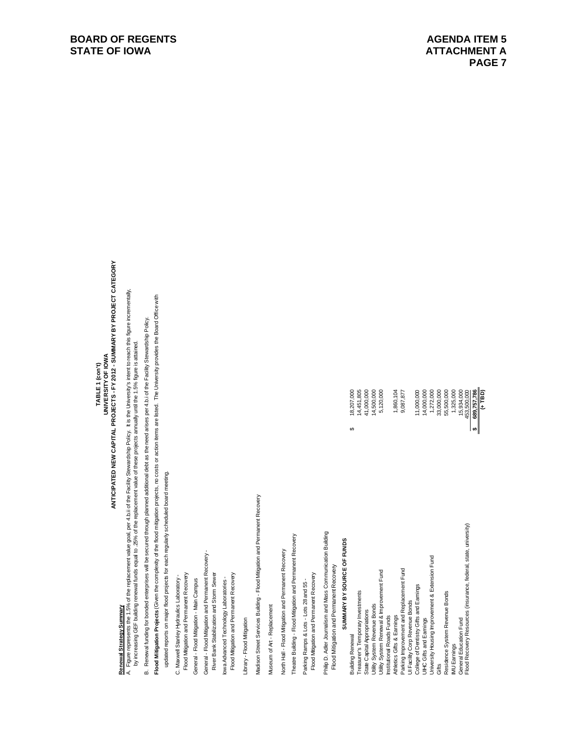# TABLE 1 (con't)<br>UNIVERSITY OF IOWA<br>ANTICIPATED NEW CAPITAL PROJECTS - FY 2012 - SUMMARY BY PROJECT CATEGORY **ANTICIPATED NEW CAPITAL PROJECTS - FY 2012 - SUMMARY BY PROJECT CATEGORYUNIVERSITY OF IOWA TABLE 1 (con't)**

# **Renewal Strategy Summary**

Renewal Strategy Summary<br>A. Figure represents the 1.5% of the replacement value goal, per 4.b.ii of the Facility Stewardship Policy. It is the University's intent to reach this figure incrementally,<br>by increasing GEF build A. Figure represents the 1.5% of the replacement value goal, per 4.b.ii of the Facility Stewardship Policy. It is the University's intent to reach this figure incrementally, by increasing GEF building renewal funds equal to .25% of the replacement value of these projects annually until the 1.5% figure is attained.

B. Renewal funding for bonded enterprises will be secured through planned additional debt as the need arises per 4.b.i of the Facility Stewardship Policy. B. Renewal funding for bonded enterprises will be secured through planned additional debt as the need arises per 4.b.i of the Facility Stewardship Policy.

Flood Mitigation Projects (Given the complexity of the flood mitigation projects, no costs or action items are listed. The University provides the Board Office with **Flood Mitigation Projects** (Given the complexity of the flood mitigation projects, no costs or action items are listed. The University provides the Board Office with

updated reports on major flood projects for each regularly scheduled board meeting. updated reports on major flood projects for each regularly scheduled board meeting.

C. Maxwell Stanley Hydraulics Laboratory -C. Maxwell Stanley Hydraulics Laboratory -

Flood Mitigation and Permanent Recovery Flood Mitigation and Permanent Recovery

General - Flood Mtigation - Main Campus General - Flood Mitigation - Main Campus

General - Flood Mitigation and Permanent Recovery -General - Flood Mitigation and Permanent Recovery - River Bank Stabilization and Storm Sewer River Bank Stabilization and Storm Sewer

lowa Advanced Technology Laboratories -

Flood Mitigation and Permanent Recovery Flood Mitigation and Permanent Recovery Iowa Advanced Technology Laboratories -

Library - Flood Mitigation Library - Flood Mitigation Madison Street Services Building - Flood Mitigation and Permanent Recovery Madison Street Services Building - Flood Mitigation and Permanent Recovery

Museum of Art - Replacement Museum of Art - Replacement North Hall - Flood Mitigation and Permanent Recovery North Hall - Flood Mitigation and Permanent Recovery

Theatre Building - Flood Mitgation and Permanent Recovery Theatre Building - Flood Mitigation and Permanent Recovery

Parking Ramps & Lots - Lots 28 and 55 -Parking Ramps & Lots - Lots 28 and 55 - Flood Mitigation and Permanent Recovery Flood Mitigation and Permanent Recovery Philip D. Adler Journalism and Mass Communication Building Philip D. Adler Journalism and Mass Communication Building Flood Mitigation and Permanent Recovery Flood Mitigation and Permanent Recovery

# SUMMARY BY SOURCE OF FUNDS  **SUMMARY BY SOURCE OF FUNDS**

| <b>Building Renewal</b>                                          | 18,207,000  |  |
|------------------------------------------------------------------|-------------|--|
| Treasurer's Temporary Investments                                | 14,451,805  |  |
| State Capital Appropriations                                     | 41,000,000  |  |
| Utility System Revenue Bonds                                     | 14,500,000  |  |
| Utility System Renewal & Improvement Fund                        | 5,120,000   |  |
| Institutional Roads Funds                                        |             |  |
| Athletics Gifts & Earnings                                       | 1,860,104   |  |
| Parking Improvement and Replacement Fund                         | 9,087,877   |  |
| Ul Facility Corp Revenue Bonds                                   |             |  |
| College of Dentistry Gifts and Earnings                          | 11,000,000  |  |
| UIHC Gifts and Earnings                                          | 14,000,000  |  |
| University Housing Improvement & Extension Fund                  | 1,272,000   |  |
| Gifts                                                            | 33,000,000  |  |
| Residence System Revenue Bonds                                   | 55,500,000  |  |
| <b>IMU Earnings</b>                                              | 1,325,000   |  |
| General Education Fund                                           | 15,934,000  |  |
| Flood Recovery Resources (insurance, federal, state, university) | 453,500,000 |  |
|                                                                  | 689,757,786 |  |
|                                                                  | $(+7B)$     |  |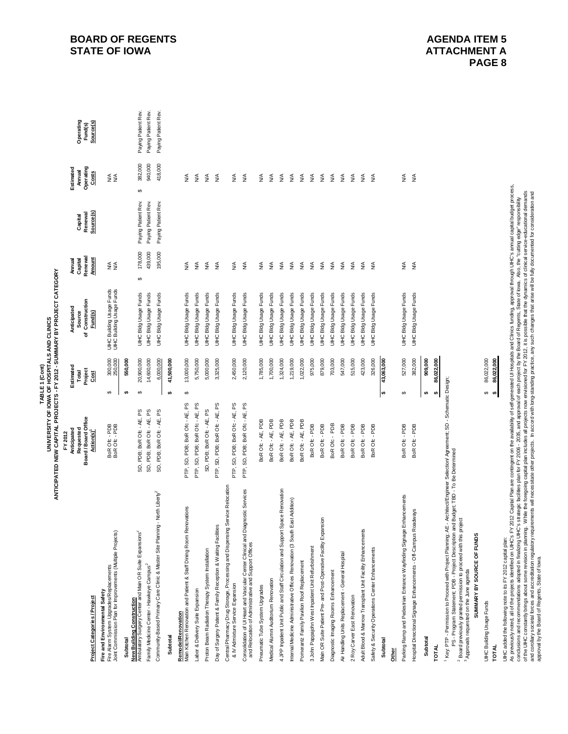TABLE 1 (Cont)<br>UNIVERSITY OF IOWA OF HOSPITALS AND CLINICS<br>ANTICIPATED NEW CAPITAL PROJECTS - FY 2012 - SUMMARY BY PROJECT CATEGORY **ANTICIPATED NEW CAPITAL PROJECTS - FY 2012 - SUMMARY BY PROJECT CATEGORYUNIVERSITY OF IOWA OF HOSPITALS AND CLINICS TABLE 1 (Cont)**

|                                                                                                                                           | Anticipated<br>Requested<br>FY 2012          | Estimated<br>Total                   | Anticipated<br>Source                                | Capital<br>Renewal<br>Amual | Capital              | Estimated<br>Annual     | Operating            |
|-------------------------------------------------------------------------------------------------------------------------------------------|----------------------------------------------|--------------------------------------|------------------------------------------------------|-----------------------------|----------------------|-------------------------|----------------------|
| Project Categories / Project                                                                                                              | Board/Board Office<br>Action(s) <sup>1</sup> | Project<br>Cost                      | Construction<br>Fund(s)<br>ď                         | <b>Amount</b>               | Source(s)<br>Renewal | Operating<br>Costs      | Source(s)<br>Fund(s) |
| Fire Alam System Upgrades/Replacements<br>Joint Commission Plan for Improvements (Multiple Projects)<br>Fire and Environmental Safety     | BoR Ofc - PDB<br>BoR Ofc - PDB               | 300,000<br>250,000<br>↮              | UHC Building Usage Funds<br>UHC Building Usage Funds | ≸≨                          |                      | ≨≨                      |                      |
| Subtotal                                                                                                                                  |                                              | 550,000<br>s,                        |                                                      |                             |                      |                         |                      |
| Ambulatory Surgery Center and Main OR Suite Expansions <sup>2</sup><br>New Building Construction                                          | SD, PDB; BoR Ofc - AE, PS                    | 20,900,000<br>↮                      | <b>JIHC Bidg Usage Funds</b>                         | 178,000<br>$\Theta$         | Paying Patient Rev.  | 382,000<br>မာ           | Paying Patient Rev.  |
| Family Medicine Center - Hawkeye Campus <sup>2</sup>                                                                                      | SD, PDB; BoR Ofc - AE, PS                    | 14,600,000                           | <b>UIHC Bidg Usage Funds</b>                         | 439,000                     | Paying Patient Rev.  | 940,000                 | Paying Patient Rev.  |
| Community-Based Primary Care Clinic & Master Site Planning - North Liberty <sup>2</sup>                                                   | SD, PDB; BoR Ofc - AE, PS                    | 6,000,000                            | UIHC Bldg Usage Funds                                | 195,000                     | Paying Patient Rev.  | 418,000                 | Paying Patient Rev.  |
| Subtotal                                                                                                                                  |                                              | 41,500,000<br><b>SA</b>              |                                                      |                             |                      |                         |                      |
| Main Kitchen Renovation and Patient & Staff Dining Room Renovations<br>Remodel/Renovation                                                 | PTP, SD, PDB; BoR Ofc - AE, PS               | 13,000,000<br>$\boldsymbol{\varphi}$ | UIHC Bidg Usage Funds                                | ≸                           |                      | $\stackrel{\leq}{\geq}$ |                      |
| Labor & Delivery Suite Expansion                                                                                                          | PTP, SD, PDB; BoR Ofc - AE, PS               | 5,750,000                            | UIHC Bldg Usage Funds                                | ≸                           |                      | $\lessgtr$              |                      |
| Proton Beam Radiation Therapy System Installation                                                                                         | SD, PDB; BoR Ofc - AE, PS                    | 5,000,000                            | <b>JIHC Bidg Usage Funds</b>                         | ≸                           |                      | $\lessgtr$              |                      |
| Day of Surgery Patient & Family Reception & Waiting Facilities                                                                            | PTP, SD, PDB; BoR Ofc - AE, PS               | 3,325,000                            | UIHC Bldg Usage Funds                                | $\lessgtr$                  |                      | $\frac{4}{2}$           |                      |
| Central Pharmacy Drug Storage, Processing and Dispensing Service Relocation<br>& IV Admixture Service Expansion                           | PTP, SD, PDB; BoR Ofc - AE, PS               | 2,450,000                            | <b>UIHC Bidg Usage Funds</b>                         | $\lessgtr$                  |                      | $\lessgtr$              |                      |
| Consolidation of UI Heart and Vascular Center Clinical and Diagnostic Services<br>and Relocation of Administrative and Support Offices    | PTP, SD, PDB; BoR Ofc - AE, PS               | 2,120,000                            | UIHC Bldg Usage Funds                                | ≸                           |                      | $\lessgtr$              |                      |
| Pneumatic Tube System Upgrades                                                                                                            | BoR Ofc - AE, PDB                            | 1,785,000                            | UIHC Bidg Usage Funds                                | ≸                           |                      | $\frac{4}{2}$           |                      |
| Medical Alumni Auditorium Renovation                                                                                                      | BoR Ofc - AE, PDB                            | 1,700,000                            | UIHC Bldg Usage Funds                                | $\lessgtr$                  |                      | $\lessgtr$              |                      |
| 4 JPP Inpatient Unit Public and Staff Circulation and Support Space Renovation                                                            | BoR Ofc - AE, PDB                            | 1,324,000                            | <b>UIHC Bidg Usage Funds</b>                         | ≸                           |                      | $\lessgtr$              |                      |
| Internal Medicine Administrative Offices Renovation (3 South East Addition)                                                               | BoR Ofc - AE, PDB                            | 1,219,000                            | UIHC Bldg Usage Funds                                | $\lessgtr$                  |                      | $\lessgtr$              |                      |
| Pomerantz Family Pavilion Roof Replacement                                                                                                | BoR Ofc - AE, PDB                            | 1,022,000                            | UIHC Bldg Usage Funds                                | $\lessgtr$                  |                      | $\lessgtr$              |                      |
| 3 John Pappajohn West Inpatient Unit Refurbishment                                                                                        | BoR Ofc-PDB                                  | 975,000                              | <b>UIHC Bidg Usage Funds</b>                         | $\lessgtr$                  |                      | $\lessgtr$              |                      |
| ion<br>Main OR Suite Patient Pre- and Post-Operative Facility Expans                                                                      | BoR Ofc-PDB                                  | 879,000                              | UIHC Bldg Usage Funds                                | $\lessgtr$                  |                      | $\lessgtr$              |                      |
| Diagnostic Imaging Rooms Enhancement                                                                                                      | BoR Ofc - PDB                                | 703,000                              | UIHC Bldg Usage Funds                                | $\lessgtr$                  |                      | $\lessgtr$              |                      |
| Air Handling Units Replacement - General Hospital                                                                                         | BoR Ofc-PDB                                  | 547,000                              | <b>UIHC Bidg Usage Funds</b>                         | $\lessgtr$                  |                      | $\lessgtr$              |                      |
| 2 Roy Carver East Renovation                                                                                                              | BoR Ofc-PDB                                  | 515,000                              | <b>UIHC BIdg Usage Funds</b>                         | $\lessgtr$                  |                      | $\lessgtr$              |                      |
| Adult Blood & Marrow Transplant Unit Facility Enhancements                                                                                | BoR Ofc-PDB                                  | 423,000                              | UIHC Bldg Usage Funds                                | $\lessgtr$                  |                      | $\lessgtr$              |                      |
| Safety & Security Operations Center Enhancements                                                                                          | BoR Ofc - PDB                                | 326,000                              | UIHC Bldg Usage Funds                                | ≸                           |                      | $\frac{1}{2}$           |                      |
| Subtotal                                                                                                                                  |                                              | 43,063,000<br>s,                     |                                                      |                             |                      |                         |                      |
| Other                                                                                                                                     |                                              |                                      |                                                      |                             |                      |                         |                      |
| Parking Ramp and Pedestrian Entrance Wayfinding Signage Enhancements                                                                      | BoR Ofc-PDB                                  | 527,000<br>↔                         | UIHC Bldg Usage Funds                                | ≸                           |                      | $\lessgtr$              |                      |
| Hospital Directional Signage Enhancements - Off-Campus Roadways                                                                           | BoR Ofc - PDB                                | 382,000                              | UIHC Bldg Usage Funds                                | $\lessgtr$                  |                      | $\lessgtr$              |                      |
| Subtotal                                                                                                                                  |                                              | 909,000<br>s,                        |                                                      |                             |                      |                         |                      |
| <b>TOTAL</b>                                                                                                                              |                                              | 86,022,000<br>s,                     |                                                      |                             |                      |                         |                      |
| <sup>1</sup> Key: PTP - Permission to Proceed with Project Planning; AE - Architect/Engineer Selection/ Agreement; SD - Schematic Design; |                                              |                                      |                                                      |                             |                      |                         |                      |

1 Key: PTP - Permission to Proceed with Project Planning; AE - Architect/Engineer Selection/ Agreement; SD - Schematic Design; 5

' Key, PTP - Permission to Proceed with Project Planning; AE - ArchitectEngireer Selection/ Agre<br><sup>2</sup> Board previously grandsament; PDB - Project Description and Budget; TBD - TO Be Determined<br><sup>3</sup> Approvals requested on th PS - Program Statement; PDB - Project Description and Budget; TBD - To Be Determined 2 Board previously granted permission to proceed with this project

3 Approvals requested on the June agenda

SUMMARY BY SOURCE OF FUNDS  **SUMMARY BY SOURCE OF FUNDS**

OOO2,002,000 Building USage Funds Funds 86,022,000 Funds 86,022,000 \$6,022,000 \$6,023,000 \$6,023,000 \$6,023,000 \$6,023,000 \$6,023,000 \$6,023,000 \$6,023,000 \$6,023,000 \$6,023,000 \$6,023,000 \$6,023,000 \$6,023,000 \$6,023,000 UHC Building Usage Funds **TOTAL** 

86,022,000 86,022,000 **TOTAL 86,022,000 \$**   $\boldsymbol{\omega}$ 

UHC added the following note to its FY 2012 capital plan:<br>As previously noted, and the projects identified on UHC's FY 2012 Capital Plan are contingent on the anallability of self-generated UI Hospitals and Clinics funding As previously noted, all of the projects identified on UIHC's FY 2012 Capital Plan are contingent on the availability of self-generated UI Hospitals and Clinics funding, approval through UIHC's annual capital budget proces of the UIHC constantly brings about some revision in planning. While the foregoing capital plan includes all projects now envisioned for FY 2012, it is possible that the dynamics of clinical service-educational demands conclusions and recommendations adopted in finalizing UIHC's strategic facilities plan for FY 2006 - 2035, and approval of each project by the Board of Regents, State of Iowa. Also, the "cutting edge" responsibility UIHC added the following note to its FY 2012 capital plan:

approval by the Board of Regents, State of Iowa.

and corollary societal forces and accreditation regulatory requirements will necessitate other projects. In accord with long-standing practice, any such changes that arise will be fully documented for consideration and

## **BOARD OF REGENTS STATE OF IOWA**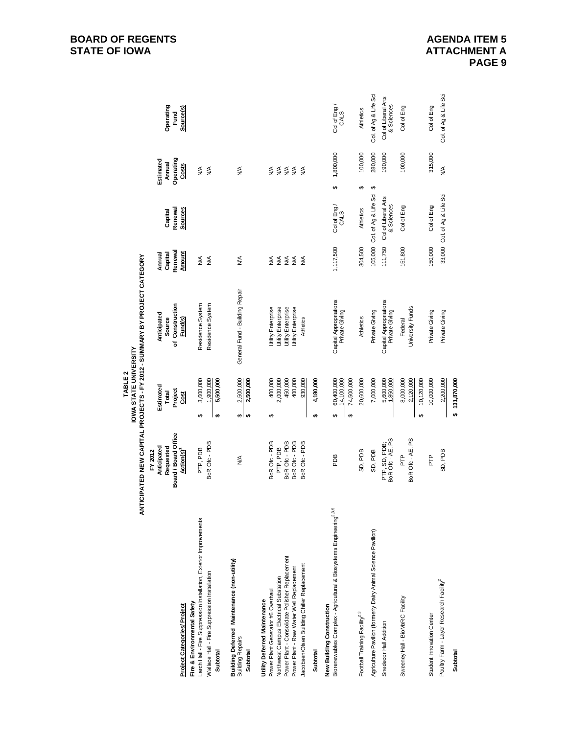|                                                                                                                                                                                                                                                          |                                                                                     | <b>IOWA STATE UNIVERSITY</b><br>TABLE <sub>2</sub>               | ANTICIPATED NEW CAPITAL PROJECTS - FY 2012 - SUMMARY BY PROJECT CATEGORY                                 |                                                                                   |                                   |                                           |                                   |
|----------------------------------------------------------------------------------------------------------------------------------------------------------------------------------------------------------------------------------------------------------|-------------------------------------------------------------------------------------|------------------------------------------------------------------|----------------------------------------------------------------------------------------------------------|-----------------------------------------------------------------------------------|-----------------------------------|-------------------------------------------|-----------------------------------|
| <b>Project Categories/ Project</b>                                                                                                                                                                                                                       | Board/Board Office<br>Anticipated<br>Requested<br>Action(s) <sup>1</sup><br>FY 2012 | Estimated<br>Project<br>Total<br><b>Sold</b>                     | of Construction<br>Anticipated<br>Source<br>Fund(s)                                                      | Renewal<br><b>Amount</b><br>Capital<br>Annual                                     | Sources<br>Renewal<br>Capital     | Operating<br>Estimated<br>Annual<br>Costs | Operating<br>Source(s)<br>Fund    |
| Larch Hall - Fire Suppression Installation, Exterior Improvements<br>Wallace Hall - Fire Suppression Installation<br>Fire & Environmental Safety<br>Subtotal                                                                                             | BoR Ofc - PDB<br>PTP, PDB                                                           | 3,600,000<br>1,900,000<br>5,500,000<br>tA<br>↮                   | Residence System<br>Residence System                                                                     | ≸<br>≸                                                                            |                                   | ≸<br>$\lessgtr$                           |                                   |
| Building Deferred Maintenance (non-utility)<br><b>Building Repairs</b><br>Subtotal                                                                                                                                                                       | ≸                                                                                   | 2,500,000<br>2,500,000<br>$\bullet$<br>⊷                         | General Fund - Building Repair                                                                           | ≸                                                                                 |                                   | ≸                                         |                                   |
| Power Plant - Consolidate Polisher Replacement<br>Jacobsen/Olsen Building Chiller Replacement<br>Power Plant - Raw Water Well Replacement<br>Northwest Campus Electrical Substation<br>Power Plant Generator #6 Overhaul<br>Utility Deferred Maintenance | BoR Ofc - PDB<br>BoR Ofc - PDB<br>BoR Ofc - PDB<br>BoR Ofc - PDB<br>PTP, PDB        | 2,000,000<br>450,000<br>400,000<br>400,000<br>930,000<br>↔       | Utility Enterprise<br>Utility Enterprise<br>Utility Enterprise<br>Utility Enterprise<br><b>Athletics</b> | $\begin{array}{c}\n\xi \\ \xi \\ \xi\not\xi\not\xi\n\end{array}$<br>$\frac{1}{2}$ |                                   | $\S$ $\S$ $\S$ $\S$<br>≸<br>$\frac{1}{2}$ |                                   |
| Subtotal                                                                                                                                                                                                                                                 |                                                                                     | 4,180,000<br>↮                                                   |                                                                                                          |                                                                                   |                                   |                                           |                                   |
| Biorenewables Complex - Agricultural & Biosystems Engineering <sup>2,3,5</sup><br>New Building Construction                                                                                                                                              | PDB                                                                                 | 60,400,000<br>14,100,000<br>74,500,000<br>↔<br>$\leftrightarrow$ | Capital Appropriations<br>Private Giving                                                                 | 1,117,500                                                                         | Col of Eng/<br>CALS               | 1,800,000<br>↮                            | Col of Eng/<br>CALS               |
| Football Training Facility <sup>2,3</sup>                                                                                                                                                                                                                | SD, PDB                                                                             | 20,600,000                                                       | <b>Athletics</b>                                                                                         | 304,500                                                                           | <b>Athletics</b>                  | 100,000<br>↮                              | <b>Athletics</b>                  |
| Agriculture Pavilion (formerly Dairy Animal Science Pavilion)                                                                                                                                                                                            | SD, PDB                                                                             | 7,000,000                                                        | Private Giving                                                                                           |                                                                                   | 105,000 Col. of Ag & Life Sci     | 280,000<br>↮                              | Col. of Ag & Life Sci             |
| Snedecor Hall Addition                                                                                                                                                                                                                                   | PTP, SD, PDB;<br>BoR Ofc - AE, PS                                                   | 5,600,000                                                        | Capital Appropriations<br>Private Giving                                                                 | 111,750                                                                           | Col of Liberal Arts<br>& Sciences | 190,000                                   | Col of Liberal Arts<br>& Sciences |
| Sweeney Hall - BioMaRC Facility                                                                                                                                                                                                                          | BoR Ofc - AE, PS<br>PTP                                                             | 8,000,000<br>2,120,000<br>10,120,000<br>↮                        | University Funds<br>Federal                                                                              | 151,800                                                                           | Col of Eng                        | 100,000                                   | Col of Eng                        |
| Student Innovation Center                                                                                                                                                                                                                                | È                                                                                   | 10,000,000                                                       | Private Giving                                                                                           | 150,000                                                                           | Col of Eng                        | 315,000                                   | Col of Eng                        |
| Poultry Farm - Layer Research Facility <sup>2</sup>                                                                                                                                                                                                      | SD, PDB                                                                             | 2,200,000                                                        | Private Giving                                                                                           |                                                                                   | 33,000 Col. of Ag & Life Sci      | $\frac{1}{2}$                             | Col. of Ag & Life Sci             |
| Subtotal                                                                                                                                                                                                                                                 |                                                                                     | \$131,870,000                                                    |                                                                                                          |                                                                                   |                                   |                                           |                                   |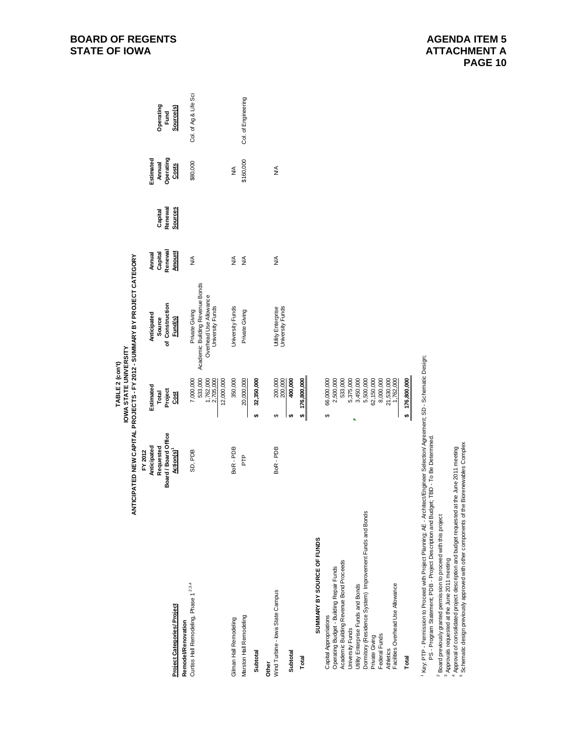| ৰ                                                                                                                              |                                   | IOWA STATE UNIVERSITY      | NTICIPATED NEW CAPITAL PROJECTS - FY 2012 - SUMMARY BY PROJECT CATEGORY |                    |                    |                     |                       |
|--------------------------------------------------------------------------------------------------------------------------------|-----------------------------------|----------------------------|-------------------------------------------------------------------------|--------------------|--------------------|---------------------|-----------------------|
|                                                                                                                                | FY 2012                           |                            |                                                                         |                    |                    |                     |                       |
|                                                                                                                                | Anticipated                       | Estimated                  | Anticipated                                                             | Annual             |                    | Estimated           |                       |
|                                                                                                                                | Board / Board Office<br>Requested | Project<br>Total           | of Construction<br>Source                                               | Renewal<br>Capital | Renewal<br>Capital | Operating<br>Annual | Operating<br>Fund     |
| Project Categories/ Project                                                                                                    | Action(s) <sup>1</sup>            | <b>SSI</b>                 | Fund(s)                                                                 | <b>Amount</b>      | Sources            | Costs               | Source(s)             |
| Remodel/Renovation                                                                                                             |                                   |                            |                                                                         |                    |                    |                     |                       |
| Curtiss Hall Remodeling, Phase 1 <sup>2,3,4</sup>                                                                              | SD, PDB                           | 7,000,000                  | Private Giving                                                          | ≸                  |                    | \$80,000            | Col. of Ag & Life Sci |
|                                                                                                                                |                                   | 533,000                    | Academic Building Revenue Bonds                                         |                    |                    |                     |                       |
|                                                                                                                                |                                   | 1,762,000<br>2,705,000     | Overhead Use Allowance<br>University Funds                              |                    |                    |                     |                       |
|                                                                                                                                |                                   | 12,000,000                 |                                                                         |                    |                    |                     |                       |
| Gilman Hall Remodeling                                                                                                         | BoR-PDB                           | 350,000                    | University Funds                                                        | ≸                  |                    | ≸                   |                       |
| Marston Hall Remodeling                                                                                                        | PTP                               | 20,000,000                 | Private Giving                                                          | ≸                  |                    | \$160,000           | Col. of Engineering   |
| Subtotal                                                                                                                       |                                   | 32,350,000<br><del>ഗ</del> |                                                                         |                    |                    |                     |                       |
| Other                                                                                                                          |                                   |                            |                                                                         |                    |                    |                     |                       |
| Wind Turbine - lowa State Campus                                                                                               | BoR-PDB                           | $\theta$                   | Utility Enterprise                                                      | ≸                  |                    | ≸                   |                       |
|                                                                                                                                |                                   | 200,000<br>200,000         | University Funds                                                        |                    |                    |                     |                       |
| Subtotal                                                                                                                       |                                   | 400,000<br>₩,              |                                                                         |                    |                    |                     |                       |
| Total                                                                                                                          |                                   | \$ 176,800,000             |                                                                         |                    |                    |                     |                       |
| SUMMARY BY SOURCE OF FUNDS                                                                                                     |                                   |                            |                                                                         |                    |                    |                     |                       |
| Capital Appropriations                                                                                                         |                                   | 66,000,000<br>↔            |                                                                         |                    |                    |                     |                       |
| Operating Budget - Building Repair Funds                                                                                       |                                   | 2,500,000                  |                                                                         |                    |                    |                     |                       |
| Academic Building Revenue Bond Proceeds                                                                                        |                                   | 533,000                    |                                                                         |                    |                    |                     |                       |
| University Funds                                                                                                               |                                   | 5,375,000                  |                                                                         |                    |                    |                     |                       |
| Utility Enterprise Funds and Bonds                                                                                             |                                   | 3,450,000                  |                                                                         |                    |                    |                     |                       |
| Dormitory (Residence System) Improvement Funds and Bonds                                                                       |                                   | 5,500,000                  |                                                                         |                    |                    |                     |                       |
| Private Giving                                                                                                                 |                                   | 62,150,000                 |                                                                         |                    |                    |                     |                       |
| Federal Funds                                                                                                                  |                                   | 8,000,000                  |                                                                         |                    |                    |                     |                       |
| <b>Athletics</b>                                                                                                               |                                   | 21,530,000                 |                                                                         |                    |                    |                     |                       |
| Facilities Overhead Use Allowance                                                                                              |                                   | 1,762,000                  |                                                                         |                    |                    |                     |                       |
| Total                                                                                                                          |                                   | \$ 176,800,000             |                                                                         |                    |                    |                     |                       |
| , Key, PTP - Permission to Proceed with Project Planning: AE - Architect/Forineer Selection/ Agreement: SD - Schematic Design: |                                   |                            |                                                                         |                    |                    |                     |                       |

Design;<br>D 1 Key: PTP - Permission to Proceed with Project Planning; AE - Architect/Engineer Selection/ Agreement; SD - Schematic Design; Ĕ ' Key, PTP - Permission to Proceed with Project Planning; AE - Architect/Engineer Selection/ Agree<br>PS - Program Statement; PDB - Project Description and Budget; TBD - To Be Determined.<br>c≂

PS - Program Statement; PDB - Project Description and Budget; TBD - To Be Determined.

2 Board previously granted permission to proceed with this project

3 Approvals requested at the June 2011 meeting

4 Approval of consolidated project description and budget requested at the June 2011 meeting

<sup>2</sup> Board previously granted permission to pricoeed with this project<br><sup>3</sup> Approvals requested at the June 2011 meeting<br><sup>4</sup> Approval of consolidated project description and budget requested at the June 2011 meeting<br><sup>5</sup> Sche 5 Schematic design previously approved with other components of the Biorenewables Complex

**TABLE 2 (con't)**

TABLE 2 (con't)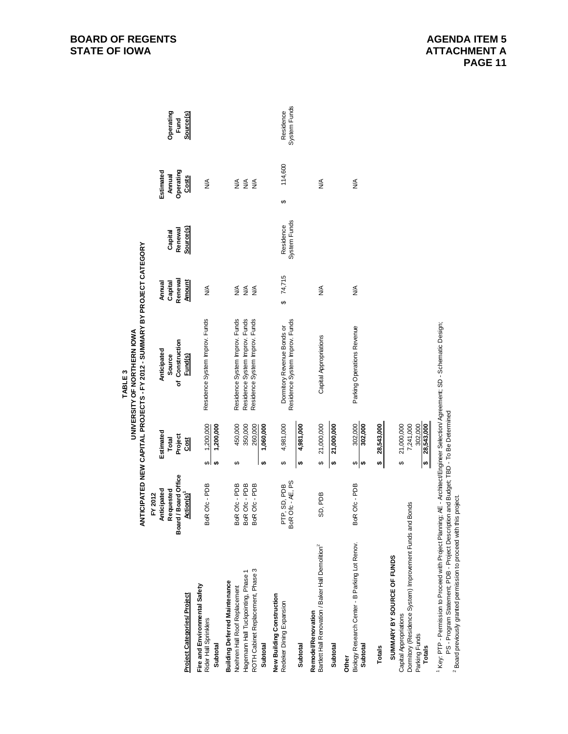|                                                                                            |                                     |         |                           | ANTICIPATED NEW CAPITAL PROJECTS - FY 2012 - SUMMARY BY PROJECT CATEGORY<br>UNIVERSITY OF NORTHERN IOWA<br>TABLE <sub>3</sub> |                             |                           |   |                          |                           |
|--------------------------------------------------------------------------------------------|-------------------------------------|---------|---------------------------|-------------------------------------------------------------------------------------------------------------------------------|-----------------------------|---------------------------|---|--------------------------|---------------------------|
|                                                                                            | FY 2012                             |         |                           |                                                                                                                               |                             |                           |   |                          |                           |
|                                                                                            | Anticipated                         |         | Estimated<br>Total        | Anticipated                                                                                                                   | Annual                      |                           |   | Estimated                |                           |
|                                                                                            | d/Board Office<br>Requested<br>Boar |         | Project                   | of Construction<br>Source                                                                                                     | Renewal<br>Capital          | Renewal<br>Capital        |   | Operating<br>Annual      | Operating<br>Fund         |
| Project Categories/Project                                                                 | Action(s) <sup>1</sup>              |         | Cost                      | Fund(s)                                                                                                                       | <b>Amount</b>               | Source(s)                 |   | Costs                    | Source(s)                 |
| Fire and Environmental Safety<br>Rider Hall Sprinklers                                     | BoR Ofc - PDB                       | ↮       | 1,200,000                 | Residence System Improv. Funds                                                                                                | ≸                           |                           |   | ≸                        |                           |
| Subtotal                                                                                   |                                     | ₩       | 1,200,000                 |                                                                                                                               |                             |                           |   |                          |                           |
| <b>Building Deferred Maintenance</b>                                                       |                                     |         |                           |                                                                                                                               |                             |                           |   |                          |                           |
| Hagemann Hall Tuckpointing, Phase 1<br>Noehren Hall Roof Replacement                       | BoR Ofc - PDB<br>BoR Ofc - PDB      | ↔       | 450,000<br>350,000        | Residence System Improv. Funds<br>Residence System Improv. Funds                                                              | $\frac{1}{2}$<br>$\lessgtr$ |                           |   | $\lessgtr$<br>$\lessgtr$ |                           |
| ROTH Cabinet Replacement, Phase 3                                                          | BoR Ofc - PDB                       |         | 260,000                   | Residence System Improv. Funds                                                                                                | $\frac{4}{2}$               |                           |   | $\frac{1}{2}$            |                           |
| Subtotal                                                                                   |                                     | ₩       | 1,060,000                 |                                                                                                                               |                             |                           |   |                          |                           |
| New Building Construction                                                                  |                                     |         |                           |                                                                                                                               |                             |                           |   |                          |                           |
| Redeker Dining Expansion                                                                   | BoR Ofc - AE, PS<br>PTP, SD, PDB    | ↮       | 4,981,000                 | Residence System Improv. Funds<br>Dormitory Revenue Bonds or                                                                  | 74,715<br>↮                 | System Funds<br>Residence | ↮ | 114,600                  | System Funds<br>Residence |
| Subtotal                                                                                   |                                     | ↮       | 4,981,000                 |                                                                                                                               |                             |                           |   |                          |                           |
| Bartlett Hall Renovation / Baker Hall Demolition <sup>2</sup><br><b>Remodel/Renovation</b> | SD, PDB                             | ↮       | 21,000,000                | Capital Appropriations                                                                                                        | ⋚                           |                           |   | ≸                        |                           |
| Subtotal                                                                                   |                                     | ₩       | 21,000,000                |                                                                                                                               |                             |                           |   |                          |                           |
| Other                                                                                      |                                     |         |                           |                                                                                                                               |                             |                           |   |                          |                           |
| Biology Research Center - B Parking Lot Renov.<br>Subtotal                                 | BoR Ofc - PDB                       | မှာ မှာ | $\frac{302,000}{302,000}$ | Parking Operations Revenue                                                                                                    | ≸                           |                           |   | ≸                        |                           |
| Totals                                                                                     |                                     | ↮       | 28,543,000                |                                                                                                                               |                             |                           |   |                          |                           |
| SUMMARY BY SOURCE OF FUNDS                                                                 |                                     |         |                           |                                                                                                                               |                             |                           |   |                          |                           |
| Dormitory (Residence System) Improvement Funds and<br>Capital Appropriations               | <b>Bonds</b>                        | ↮       | 7,241,000<br>21,000,000   |                                                                                                                               |                             |                           |   |                          |                           |
| Parking Funds<br><b>Totals</b>                                                             |                                     | ↮       | 302,000<br>28,543,000     |                                                                                                                               |                             |                           |   |                          |                           |
|                                                                                            |                                     |         |                           |                                                                                                                               |                             |                           |   |                          |                           |

<sup>1</sup> Key: PTP - Permission to Proceed with Project Planning, AE - ArchitectEngineer Selection⁄ Agreement; SD - Schematic Design;<br>PS - Program Statement; PDB - Project Description and Budget; TBD - To Be Determined<br><sup>2</sup> Boar 1 Key: PTP - Permission to Proceed with Project Planning; AE - Architect/Engineer Selection/ Agreement; SD - Schematic Design;

PS - Program Statement; PDB - Project Description and Budget; TBD - To Be Determined

2 Board previously granted permission to proceed with this project.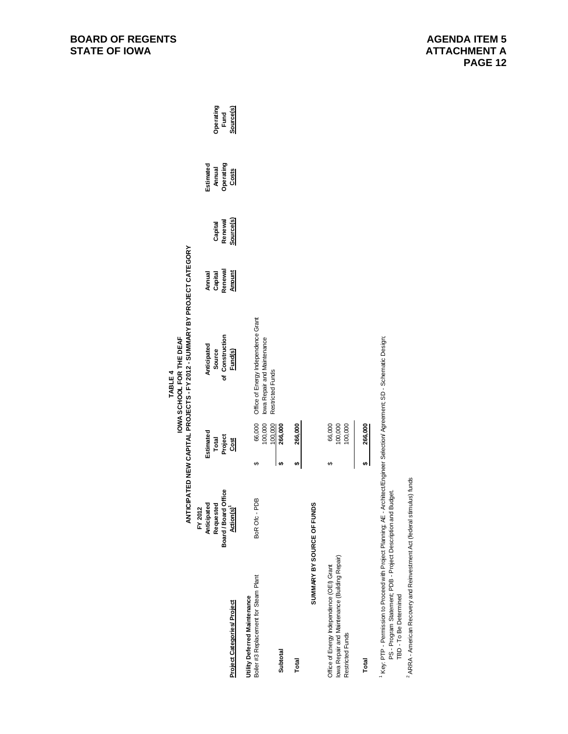|                                                                                                                                                                                                                                 |                                                |    |                                 | ANTICIPATED NEW CAPITAL PROJECTS - FY 2012 - SUMMARY BY PROJECT CATEGORY |                   |           |           |           |
|---------------------------------------------------------------------------------------------------------------------------------------------------------------------------------------------------------------------------------|------------------------------------------------|----|---------------------------------|--------------------------------------------------------------------------|-------------------|-----------|-----------|-----------|
|                                                                                                                                                                                                                                 | FY 2012                                        |    | Estimated                       | Anticipated                                                              |                   |           | Estimated |           |
|                                                                                                                                                                                                                                 | Anticipated<br>Requested                       |    |                                 | Source                                                                   | Annual<br>Capital | Capital   | Annual    | Operating |
|                                                                                                                                                                                                                                 | Board / Board Office<br>Action(s) <sup>1</sup> |    | Total<br>Project<br><u>Cost</u> | of Construction                                                          | Renewal           | Renewal   | Operating | Fund      |
| <b>Project Categories/Project</b>                                                                                                                                                                                               |                                                |    |                                 | Fund(s)                                                                  | <b>Amount</b>     | Source(s) | Costs     | Source(s) |
| Boiler #3 Replacement for Steam Plant<br>Utility Deferred Maintenance                                                                                                                                                           | BoR Ofc - PDB                                  | ↮  | 66,000<br>100,000               | Office of Energy Independence Grant<br>lowa Repair and Maintenance       |                   |           |           |           |
| Subtotal                                                                                                                                                                                                                        |                                                | မာ | 100,000<br>266,000              | Restricted Funds                                                         |                   |           |           |           |
|                                                                                                                                                                                                                                 |                                                |    |                                 |                                                                          |                   |           |           |           |
| Total                                                                                                                                                                                                                           |                                                | ↮  | 266,000                         |                                                                          |                   |           |           |           |
|                                                                                                                                                                                                                                 | SUMMARY BY SOURCE OF FUNDS                     |    |                                 |                                                                          |                   |           |           |           |
| lowa Repair and Maintenance (Building Repair)<br>Office of Energy Independence (OEI) Grant<br>Restricted Funds                                                                                                                  |                                                | θĤ | 100,000<br>66,000<br>100,000    |                                                                          |                   |           |           |           |
| Total                                                                                                                                                                                                                           |                                                | မာ | 266,000                         |                                                                          |                   |           |           |           |
| 1 Key: PTP - Permission to Proceed with Project Planning; AE - Architect/Engineer Selection/ Agreement; SD - Schematic Design;<br>PS - Program Statement; PDB - Project Description and Budget<br><b>TBD - To Be Determined</b> |                                                |    |                                 |                                                                          |                   |           |           |           |

2 ARRA - American Recovery and Reinvestment Act (federal stimulus) funds

<sup>2</sup> ARRA - American Recovery and Reinvestment Act (federal stimulus) funds

**BOARD OF REGENTS STATE OF IOWA** 

**TABLE 4**

TABLE 4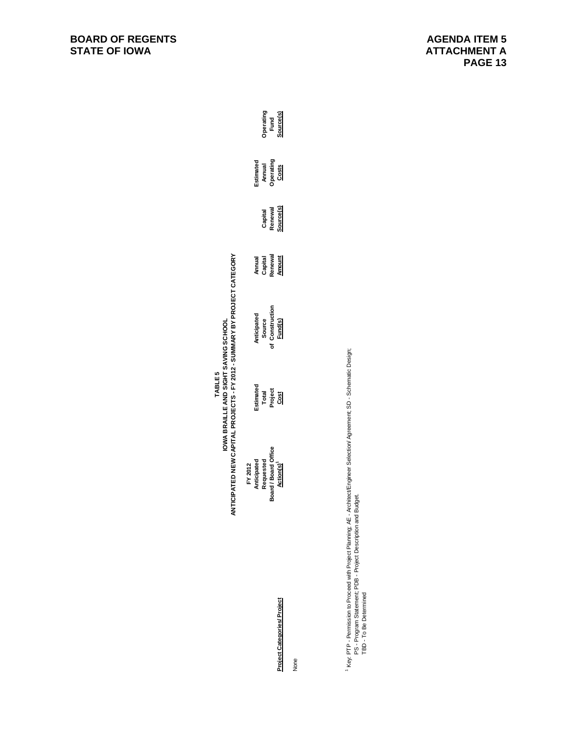# TABLE 5<br>IOWA BRAILLE AND SIGHT SAVING SCHOOL<br>ANTICIPATED NEW CAPITAL PROJECTS - FY 2012 - SUMMARY BY PROJECT CATEGORY **ANTICIPATED NEW CAPITAL PROJECTS - FY 2012 - SUMMARY BY PROJECT CATEGORYIOWA BRAILLE AND SIGHT SAVING SCHOOL TABLE 5**

| FY 2012<br>Anticipated<br>Requested<br>Roard Offic<br>Soard Board Offic | istimated<br>Total<br>Project<br><u>Cost</u> | Anticipated<br>Source<br>f Construction<br><u>Fund(s)</u> | Annual<br>Capital<br>Renewal<br><u>Amount</u> | Capital<br>Renewal<br>Source(s) | Estimated<br>Annual<br>Operating<br><u>Costs</u> | Operating<br>Fund<br><u>Source(s)</u> |
|-------------------------------------------------------------------------|----------------------------------------------|-----------------------------------------------------------|-----------------------------------------------|---------------------------------|--------------------------------------------------|---------------------------------------|

None

<sup>1</sup> Key: PTP - Permission to Proceed with Project Planning: AE - Architect/Engineer Selection/ Agreement; SD - Schematic Design;<br>PS - Program Statement; PDB - Project Description and Budget.<br>TBD - To Be Determined 1 Key: PTP - Permission to Proceed with Project Planning; AE - Architect/Engineer Selection/ Agreement; SD - Schematic Design; PS - Program Statement; PDB - Project Description and Budget.

TBD - To Be Determined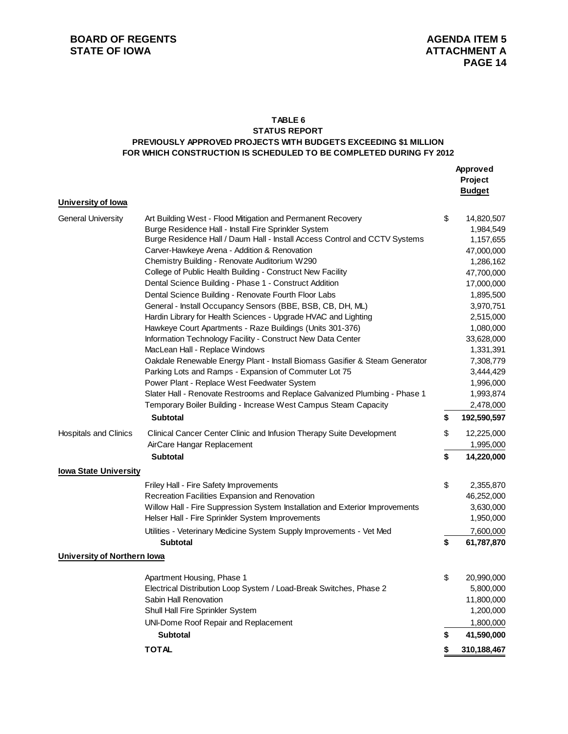## **TABLE 6**

## **STATUS REPORT PREVIOUSLY APPROVED PROJECTS WITH BUDGETS EXCEEDING \$1 MILLION FOR WHICH CONSTRUCTION IS SCHEDULED TO BE COMPLETED DURING FY 2012**

|                                    |                                                                                                                                                                                                                                                                                                                                                                                                                                                                                                                                                                                                                                                                                                                                                                                                                                                                                                                                                                                                                                                                                                                          | Approved<br>Project<br><b>Budget</b>                                                                                                                                                                                                              |
|------------------------------------|--------------------------------------------------------------------------------------------------------------------------------------------------------------------------------------------------------------------------------------------------------------------------------------------------------------------------------------------------------------------------------------------------------------------------------------------------------------------------------------------------------------------------------------------------------------------------------------------------------------------------------------------------------------------------------------------------------------------------------------------------------------------------------------------------------------------------------------------------------------------------------------------------------------------------------------------------------------------------------------------------------------------------------------------------------------------------------------------------------------------------|---------------------------------------------------------------------------------------------------------------------------------------------------------------------------------------------------------------------------------------------------|
| University of lowa                 |                                                                                                                                                                                                                                                                                                                                                                                                                                                                                                                                                                                                                                                                                                                                                                                                                                                                                                                                                                                                                                                                                                                          |                                                                                                                                                                                                                                                   |
| <b>General University</b>          | Art Building West - Flood Mitigation and Permanent Recovery<br>Burge Residence Hall - Install Fire Sprinkler System<br>Burge Residence Hall / Daum Hall - Install Access Control and CCTV Systems<br>Carver-Hawkeye Arena - Addition & Renovation<br>Chemistry Building - Renovate Auditorium W290<br>College of Public Health Building - Construct New Facility<br>Dental Science Building - Phase 1 - Construct Addition<br>Dental Science Building - Renovate Fourth Floor Labs<br>General - Install Occupancy Sensors (BBE, BSB, CB, DH, ML)<br>Hardin Library for Health Sciences - Upgrade HVAC and Lighting<br>Hawkeye Court Apartments - Raze Buildings (Units 301-376)<br>Information Technology Facility - Construct New Data Center<br>MacLean Hall - Replace Windows<br>Oakdale Renewable Energy Plant - Install Biomass Gasifier & Steam Generator<br>Parking Lots and Ramps - Expansion of Commuter Lot 75<br>Power Plant - Replace West Feedwater System<br>Slater Hall - Renovate Restrooms and Replace Galvanized Plumbing - Phase 1<br>Temporary Boiler Building - Increase West Campus Steam Capacity | \$<br>14,820,507<br>1,984,549<br>1,157,655<br>47,000,000<br>1,286,162<br>47,700,000<br>17,000,000<br>1,895,500<br>3,970,751<br>2,515,000<br>1,080,000<br>33,628,000<br>1,331,391<br>7,308,779<br>3,444,429<br>1,996,000<br>1,993,874<br>2,478,000 |
|                                    | <b>Subtotal</b>                                                                                                                                                                                                                                                                                                                                                                                                                                                                                                                                                                                                                                                                                                                                                                                                                                                                                                                                                                                                                                                                                                          | \$<br>192,590,597                                                                                                                                                                                                                                 |
| <b>Hospitals and Clinics</b>       | Clinical Cancer Center Clinic and Infusion Therapy Suite Development<br>AirCare Hangar Replacement                                                                                                                                                                                                                                                                                                                                                                                                                                                                                                                                                                                                                                                                                                                                                                                                                                                                                                                                                                                                                       | \$<br>12,225,000<br>1,995,000                                                                                                                                                                                                                     |
|                                    | <b>Subtotal</b>                                                                                                                                                                                                                                                                                                                                                                                                                                                                                                                                                                                                                                                                                                                                                                                                                                                                                                                                                                                                                                                                                                          | \$<br>14,220,000                                                                                                                                                                                                                                  |
| <b>lowa State University</b>       |                                                                                                                                                                                                                                                                                                                                                                                                                                                                                                                                                                                                                                                                                                                                                                                                                                                                                                                                                                                                                                                                                                                          |                                                                                                                                                                                                                                                   |
|                                    | Friley Hall - Fire Safety Improvements<br>Recreation Facilities Expansion and Renovation<br>Willow Hall - Fire Suppression System Installation and Exterior Improvements<br>Helser Hall - Fire Sprinkler System Improvements                                                                                                                                                                                                                                                                                                                                                                                                                                                                                                                                                                                                                                                                                                                                                                                                                                                                                             | \$<br>2,355,870<br>46,252,000<br>3,630,000<br>1,950,000                                                                                                                                                                                           |
|                                    | Utilities - Veterinary Medicine System Supply Improvements - Vet Med                                                                                                                                                                                                                                                                                                                                                                                                                                                                                                                                                                                                                                                                                                                                                                                                                                                                                                                                                                                                                                                     | 7,600,000                                                                                                                                                                                                                                         |
|                                    | <b>Subtotal</b>                                                                                                                                                                                                                                                                                                                                                                                                                                                                                                                                                                                                                                                                                                                                                                                                                                                                                                                                                                                                                                                                                                          | \$<br>61,787,870                                                                                                                                                                                                                                  |
| <b>University of Northern lowa</b> |                                                                                                                                                                                                                                                                                                                                                                                                                                                                                                                                                                                                                                                                                                                                                                                                                                                                                                                                                                                                                                                                                                                          |                                                                                                                                                                                                                                                   |
|                                    | Apartment Housing, Phase 1<br>Electrical Distribution Loop System / Load-Break Switches, Phase 2<br>Sabin Hall Renovation<br>Shull Hall Fire Sprinkler System<br>UNI-Dome Roof Repair and Replacement                                                                                                                                                                                                                                                                                                                                                                                                                                                                                                                                                                                                                                                                                                                                                                                                                                                                                                                    | \$<br>20,990,000<br>5,800,000<br>11,800,000<br>1,200,000<br>1,800,000                                                                                                                                                                             |
|                                    | <b>Subtotal</b>                                                                                                                                                                                                                                                                                                                                                                                                                                                                                                                                                                                                                                                                                                                                                                                                                                                                                                                                                                                                                                                                                                          | \$<br>41,590,000                                                                                                                                                                                                                                  |
|                                    | <b>TOTAL</b>                                                                                                                                                                                                                                                                                                                                                                                                                                                                                                                                                                                                                                                                                                                                                                                                                                                                                                                                                                                                                                                                                                             | \$<br>310,188,467                                                                                                                                                                                                                                 |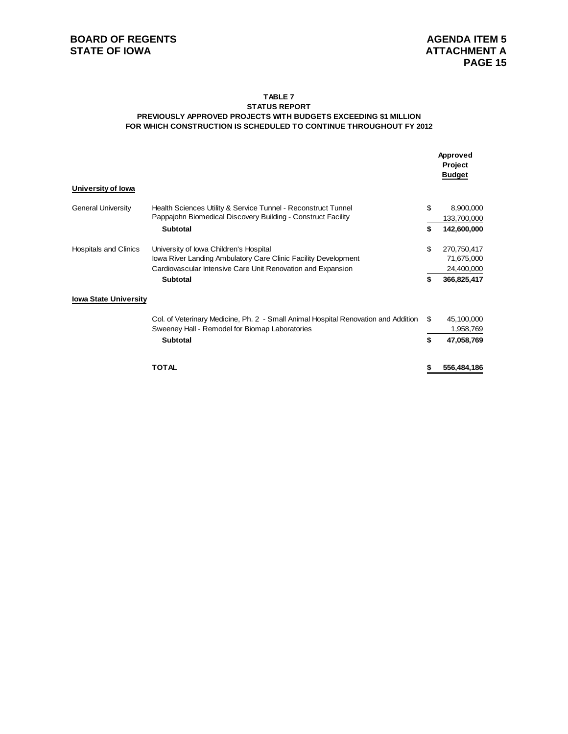### **TABLE 7 STATUS REPORT PREVIOUSLY APPROVED PROJECTS WITH BUDGETS EXCEEDING \$1 MILLION FOR WHICH CONSTRUCTION IS SCHEDULED TO CONTINUE THROUGHOUT FY 2012**

|                              |                                                                                                                                      |    | Approved<br>Project<br><b>Budget</b> |
|------------------------------|--------------------------------------------------------------------------------------------------------------------------------------|----|--------------------------------------|
| University of Iowa           |                                                                                                                                      |    |                                      |
| <b>General University</b>    | Health Sciences Utility & Service Tunnel - Reconstruct Tunnel<br>Pappajohn Biomedical Discovery Building - Construct Facility        | \$ | 8,900,000<br>133,700,000             |
|                              | <b>Subtotal</b>                                                                                                                      | \$ | 142,600,000                          |
| <b>Hospitals and Clinics</b> | University of Iowa Children's Hospital<br>lowa River Landing Ambulatory Care Clinic Facility Development                             | \$ | 270,750,417<br>71,675,000            |
|                              | Cardiovascular Intensive Care Unit Renovation and Expansion<br><b>Subtotal</b>                                                       | \$ | 24,400,000<br>366,825,417            |
| <b>Iowa State University</b> |                                                                                                                                      |    |                                      |
|                              | Col. of Veterinary Medicine, Ph. 2 - Small Animal Hospital Renovation and Addition<br>Sweeney Hall - Remodel for Biomap Laboratories | \$ | 45,100,000<br>1,958,769              |
|                              | <b>Subtotal</b>                                                                                                                      | \$ | 47,058,769                           |
|                              | <b>TOTAL</b>                                                                                                                         | S  | 556,484,186                          |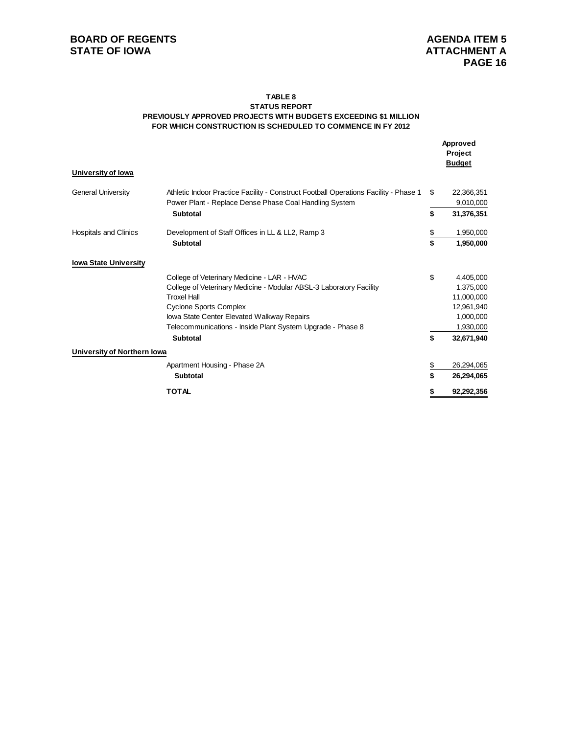### **FOR WHICH CONSTRUCTION IS SCHEDULED TO COMMENCE IN FY 2012 TABLE 8 STATUS REPORT PREVIOUSLY APPROVED PROJECTS WITH BUDGETS EXCEEDING \$1 MILLION**

|                              |                                                                                      |           | Approved<br>Project<br><b>Budget</b> |
|------------------------------|--------------------------------------------------------------------------------------|-----------|--------------------------------------|
| University of Iowa           |                                                                                      |           |                                      |
| <b>General University</b>    | Athletic Indoor Practice Facility - Construct Football Operations Facility - Phase 1 | \$        | 22,366,351                           |
|                              | Power Plant - Replace Dense Phase Coal Handling System                               |           | 9,010,000                            |
|                              | <b>Subtotal</b>                                                                      | \$        | 31,376,351                           |
| <b>Hospitals and Clinics</b> | Development of Staff Offices in LL & LL2, Ramp 3                                     | <u>\$</u> | 1,950,000                            |
|                              | <b>Subtotal</b>                                                                      | \$        | 1,950,000                            |
| <b>Iowa State University</b> |                                                                                      |           |                                      |
|                              | College of Veterinary Medicine - LAR - HVAC                                          | \$        | 4,405,000                            |
|                              | College of Veterinary Medicine - Modular ABSL-3 Laboratory Facility                  |           | 1,375,000                            |
|                              | <b>Troxel Hall</b>                                                                   |           | 11,000,000                           |
|                              | <b>Cyclone Sports Complex</b>                                                        |           | 12,961,940                           |
|                              | Iowa State Center Elevated Walkway Repairs                                           |           | 1,000,000                            |
|                              | Telecommunications - Inside Plant System Upgrade - Phase 8                           |           | 1,930,000                            |
|                              | <b>Subtotal</b>                                                                      | \$        | 32,671,940                           |
| University of Northern Iowa  |                                                                                      |           |                                      |
|                              | Apartment Housing - Phase 2A                                                         | \$        | 26,294,065                           |
|                              | <b>Subtotal</b>                                                                      | \$        | 26,294,065                           |
|                              | <b>TOTAL</b>                                                                         | \$        | 92,292,356                           |